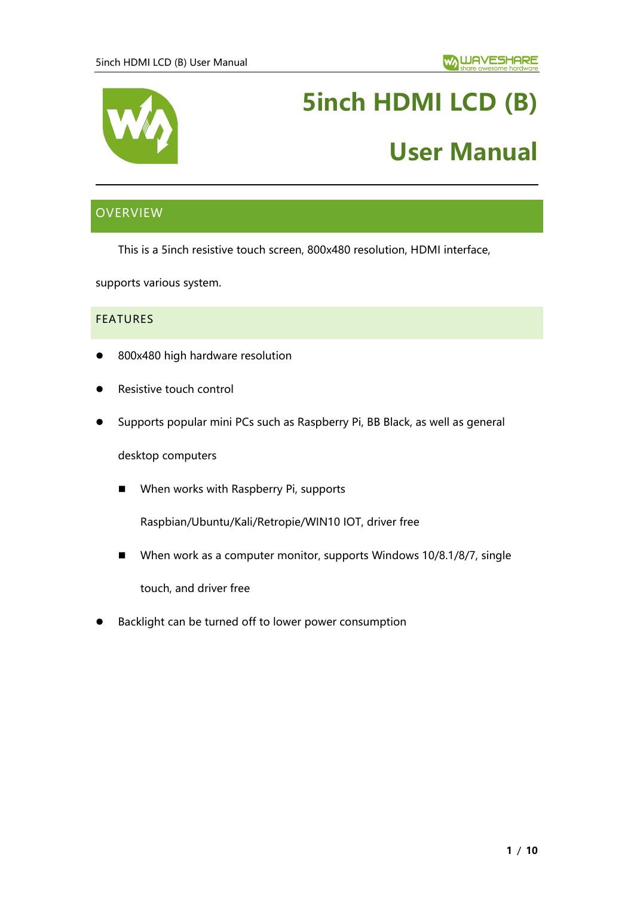

# **5inch HDMI LCD (B)**

# **User Manual**

# <span id="page-0-0"></span>**OVERVIEW**

This is a 5inch resistive touch screen, 800x480 resolution, HDMI interface,

supports various system.

#### <span id="page-0-1"></span>**FEATURES**

- 800x480 high hardware resolution
- ⚫ Resistive touch control
- ⚫ Supports popular mini PCs such as Raspberry Pi, BB Black, as well as general

desktop computers

■ When works with Raspberry Pi, supports

Raspbian/Ubuntu/Kali/Retropie/WIN10 IOT, driver free

■ When work as a computer monitor, supports Windows 10/8.1/8/7, single

touch, and driver free

⚫ Backlight can be turned off to lower power consumption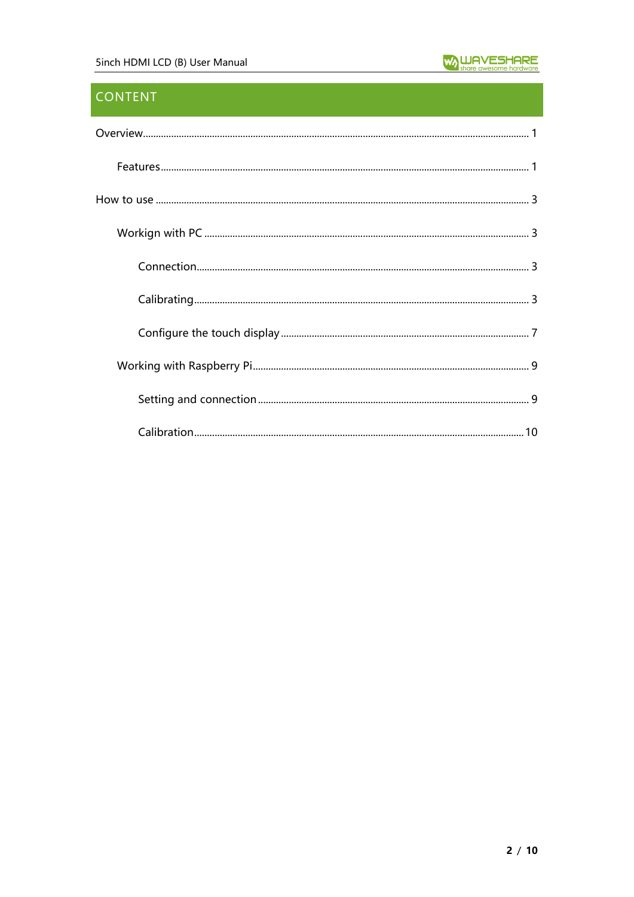# **CONTENT**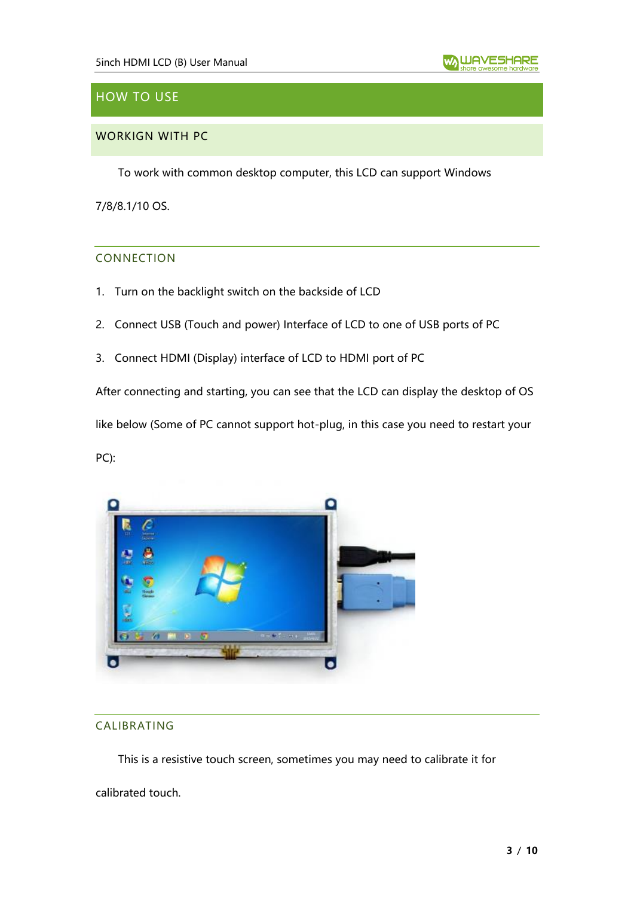

# <span id="page-2-0"></span>HOW TO USE

## <span id="page-2-1"></span>WORKIGN WITH PC

To work with common desktop computer, this LCD can support Windows

<span id="page-2-2"></span>7/8/8.1/10 OS.

#### CONNECTION

- 1. Turn on the backlight switch on the backside of LCD
- 2. Connect USB (Touch and power) Interface of LCD to one of USB ports of PC
- 3. Connect HDMI (Display) interface of LCD to HDMI port of PC

After connecting and starting, you can see that the LCD can display the desktop of OS

like below (Some of PC cannot support hot-plug, in this case you need to restart your

PC):



#### <span id="page-2-3"></span>CALIBRATING

This is a resistive touch screen, sometimes you may need to calibrate it for

calibrated touch.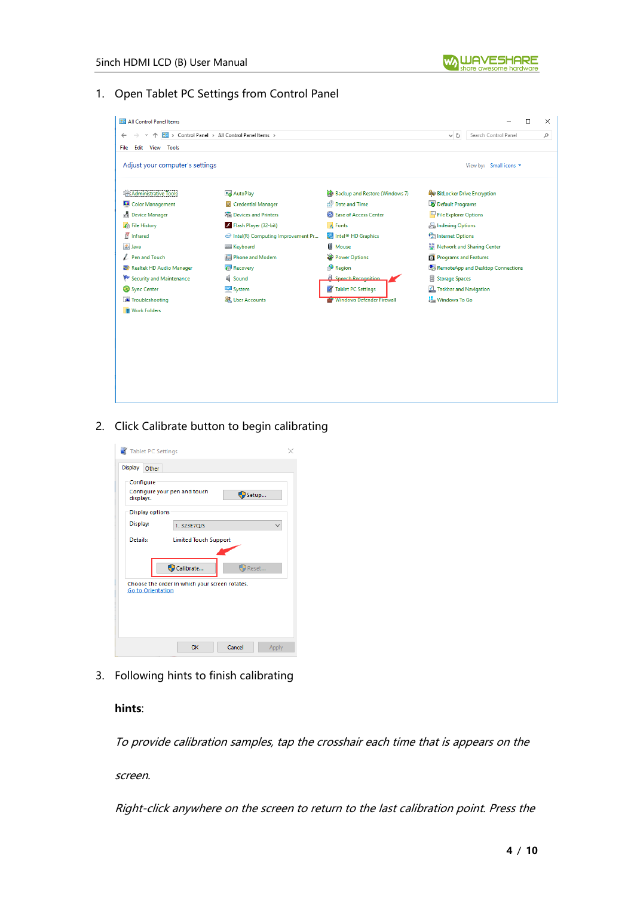

## 1. Open Tablet PC Settings from Control Panel

| <b>PE All Control Panel Items</b> |                                                |                                |                                   |                        | П | × |
|-----------------------------------|------------------------------------------------|--------------------------------|-----------------------------------|------------------------|---|---|
| 个                                 | 22 > Control Panel > All Control Panel Items > |                                | VÖ                                | Search Control Panel   |   | ٩ |
| Edit View<br>Tools<br>File        |                                                |                                |                                   |                        |   |   |
| Adjust your computer's settings   |                                                |                                |                                   | View by: Small icons ▼ |   |   |
| <b>Administrative Tools</b>       | AutoPlay                                       | Backup and Restore (Windows 7) | <b>BitLocker Drive Encryption</b> |                        |   |   |
| Color Management                  | Credential Manager                             | Date and Time                  | Default Programs                  |                        |   |   |
| Device Manager                    | <b>Fra</b> Devices and Printers                | <b>B</b> Ease of Access Center | File Explorer Options             |                        |   |   |
| <b>B</b> File History             | Flash Player (32-bit)                          | A Fonts                        | <b>P.</b> Indexing Options        |                        |   |   |
| Infrared                          | Intel(R) Computing Improvement Pr              | Intel <sup>®</sup> HD Graphics | <b>Called</b> Internet Options    |                        |   |   |
| <b>图 Java</b>                     | <b>Keyboard</b>                                | <b>Mouse</b>                   | Network and Sharing Center        |                        |   |   |
| Pen and Touch                     | Phone and Modem                                | Power Options                  | Programs and Features             |                        |   |   |
| Realtek HD Audio Manager          | Recovery                                       | Region                         | RemoteApp and Desktop Connections |                        |   |   |
| Security and Maintenance          | <b>II</b> Sound                                | <b>A</b> Speech Recognition    | Storage Spaces                    |                        |   |   |
| Sync Center                       | System                                         | Tablet PC Settings             | Taskbar and Navigation            |                        |   |   |
| Troubleshooting                   | <b>SR</b> User Accounts                        | Windows Defender Firewall      | <b>Windows To Go</b>              |                        |   |   |
| <b>III</b> Work Folders           |                                                |                                |                                   |                        |   |   |
|                                   |                                                |                                |                                   |                        |   |   |
|                                   |                                                |                                |                                   |                        |   |   |
|                                   |                                                |                                |                                   |                        |   |   |
|                                   |                                                |                                |                                   |                        |   |   |
|                                   |                                                |                                |                                   |                        |   |   |
|                                   |                                                |                                |                                   |                        |   |   |
|                                   |                                                |                                |                                   |                        |   |   |
|                                   |                                                |                                |                                   |                        |   |   |

2. Click Calibrate button to begin calibrating



3. Following hints to finish calibrating

#### **hints**:

To provide calibration samples, tap the crosshair each time that is appears on the

screen.

Right-click anywhere on the screen to return to the last calibration point. Press the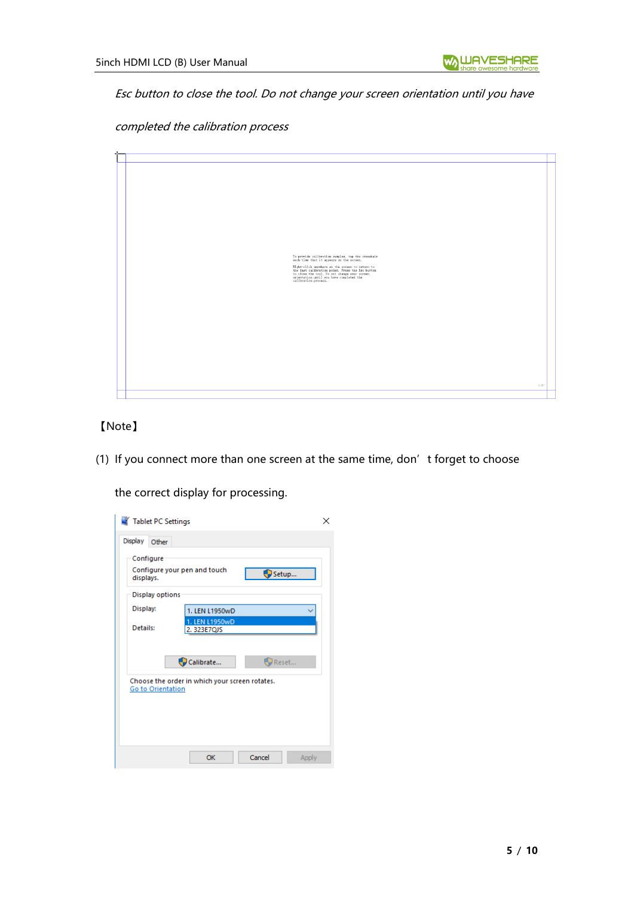Esc button to close the tool. Do not change your screen orientation until you have

completed the calibration process



# 【Note】

(1) If you connect more than one screen at the same time, don't forget to choose

the correct display for processing.

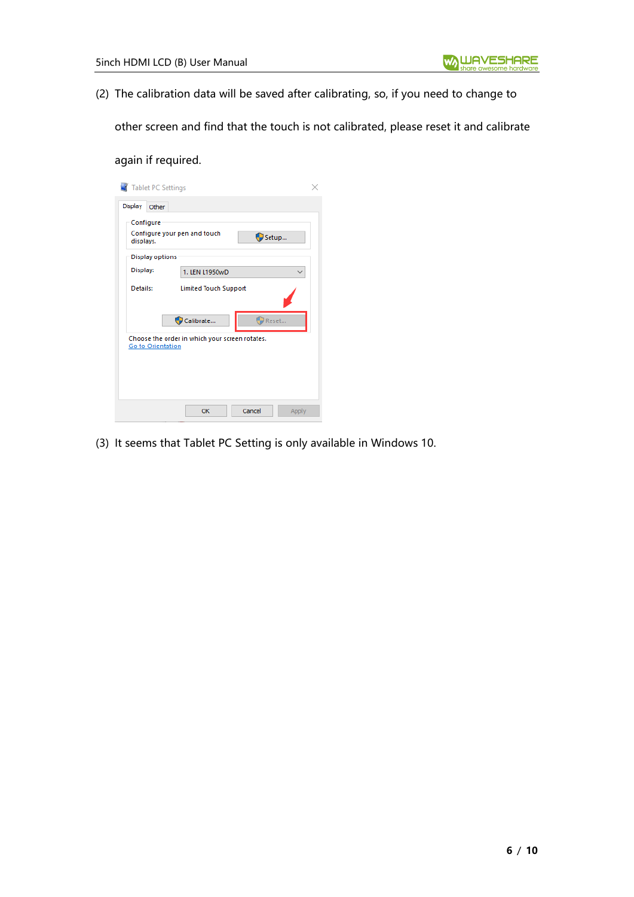(2) The calibration data will be saved after calibrating, so, if you need to change to

other screen and find that the touch is not calibrated, please reset it and calibrate

## again if required.

| Tablet PC Settings                        |                                                |       |
|-------------------------------------------|------------------------------------------------|-------|
| Display<br>Other                          |                                                |       |
| Configure<br>displays.<br>Display options | Configure your pen and touch<br>Setup          |       |
| Display:                                  | 1. LEN L1950wD                                 |       |
| Details:                                  | <b>Limited Touch Support</b>                   |       |
|                                           | Reset<br>Calibrate                             |       |
| Go to Orientation                         | Choose the order in which your screen rotates. |       |
|                                           | OK<br>Cancel                                   | Apply |

(3) It seems that Tablet PC Setting is only available in Windows 10.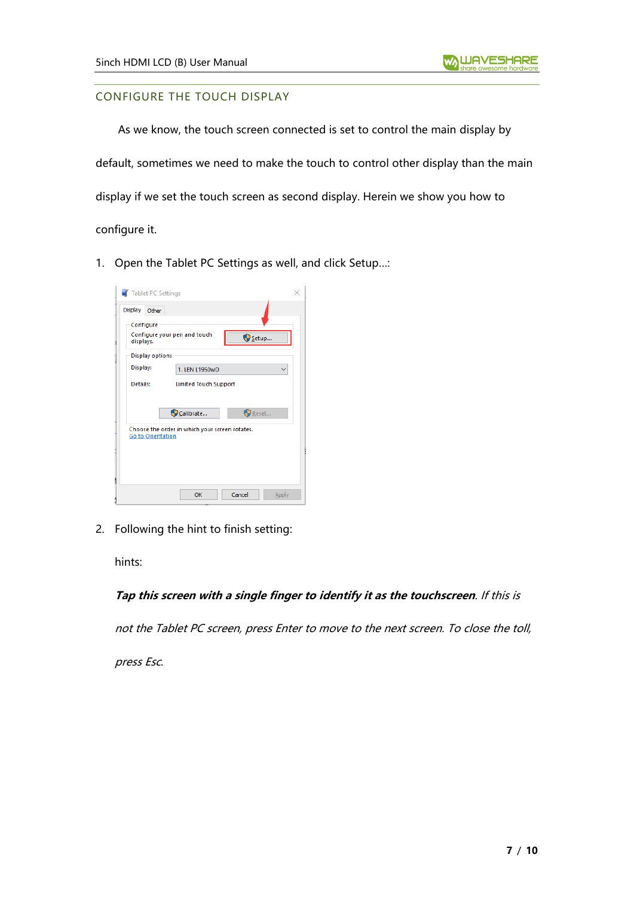## <span id="page-6-0"></span>CONFIGURE THE TOUCH DISPLAY

As we know, the touch screen connected is set to control the main display by default, sometimes we need to make the touch to control other display than the main display if we set the touch screen as second display. Herein we show you how to configure it.

1. Open the Tablet PC Settings as well, and click Setup…:

| Tablet PC Settings     |                                                |        |       |
|------------------------|------------------------------------------------|--------|-------|
| Display<br>Other       |                                                |        |       |
| Configure              |                                                |        |       |
| displays.              | Configure your pen and touch                   | Setup  |       |
| <b>Display options</b> |                                                |        |       |
| Display:               | 1. LEN L1950wD                                 |        |       |
| Details:               | <b>Limited Touch Support</b>                   |        |       |
|                        |                                                |        |       |
|                        | Calibrate                                      | Reset  |       |
| Go to Orientation      | Choose the order in which your screen rotates. |        |       |
|                        | OK                                             | Cancel | Apply |

2. Following the hint to finish setting:

hints:

## **Tap this screen with a single finger to identify it as the touchscreen**. If this is

not the Tablet PC screen, press Enter to move to the next screen. To close the toll,

press Esc.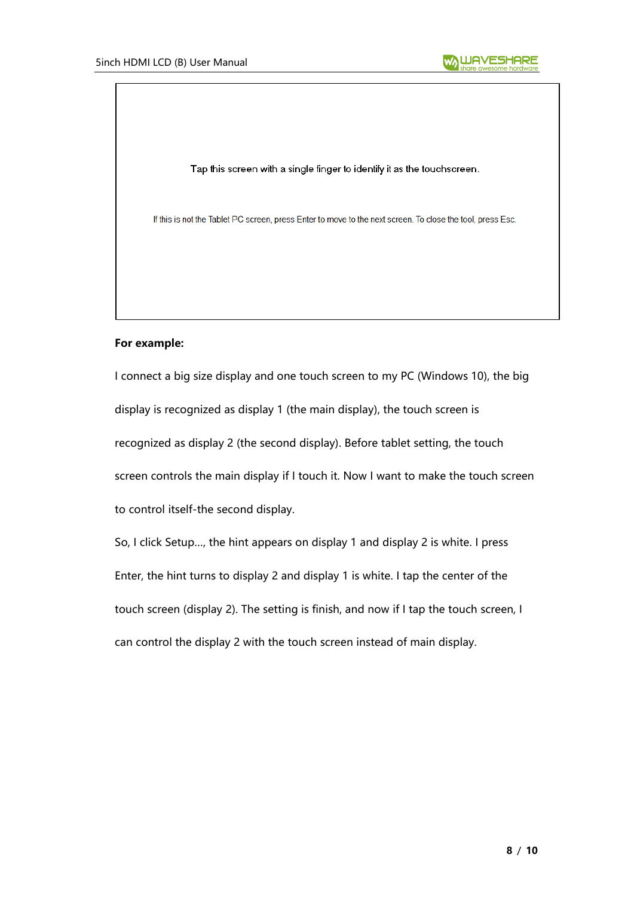

Tap this screen with a single finger to identify it as the touchscreen.

If this is not the Tablet PC screen, press Enter to move to the next screen. To close the tool, press Esc.

#### **For example:**

I connect a big size display and one touch screen to my PC (Windows 10), the big display is recognized as display 1 (the main display), the touch screen is recognized as display 2 (the second display). Before tablet setting, the touch screen controls the main display if I touch it. Now I want to make the touch screen to control itself-the second display.

So, I click Setup…, the hint appears on display 1 and display 2 is white. I press Enter, the hint turns to display 2 and display 1 is white. I tap the center of the touch screen (display 2). The setting is finish, and now if I tap the touch screen, I can control the display 2 with the touch screen instead of main display.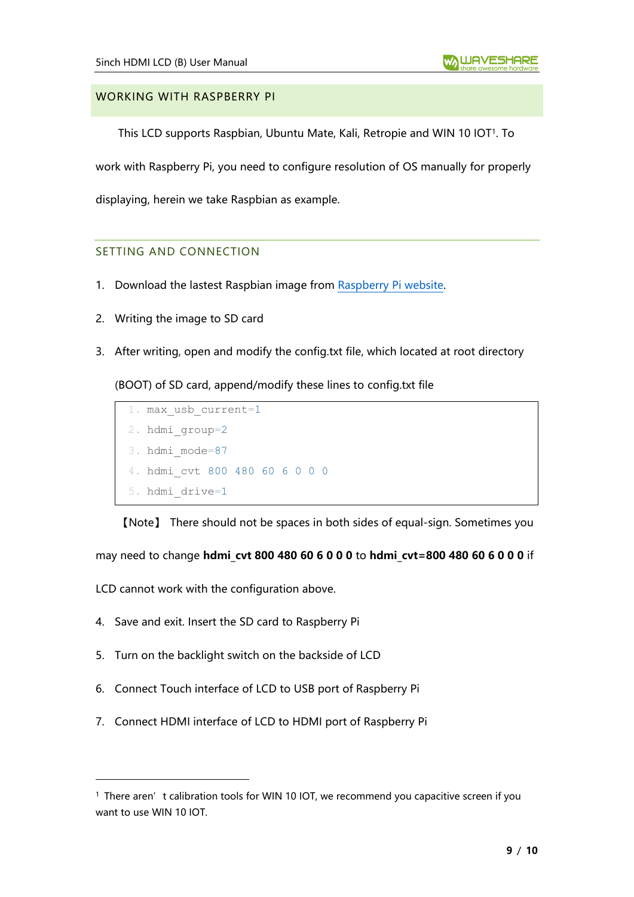#### <span id="page-8-0"></span>WORKING WITH RASPBERRY PI

This LCD supports Raspbian, Ubuntu Mate, Kali, Retropie and WIN 10 IOT<sup>1</sup> . To

work with Raspberry Pi, you need to configure resolution of OS manually for properly

<span id="page-8-1"></span>displaying, herein we take Raspbian as example.

#### SETTING AND CONNECTION

- 1. Download the lastest Raspbian image from [Raspberry Pi website.](https://www.raspberrypi.org/downloads/raspbian/)
- 2. Writing the image to SD card
- 3. After writing, open and modify the config.txt file, which located at root directory

(BOOT) of SD card, append/modify these lines to config.txt file

```
1. max_usb_current=1
2. hdmi_group=2
3. hdmi_mode=87
4. hdmi_cvt 800 480 60 6 0 0 0
5. hdmi_drive=1
```
【Note】 There should not be spaces in both sides of equal-sign. Sometimes you

may need to change **hdmi\_cvt 800 480 60 6 0 0 0** to **hdmi\_cvt=800 480 60 6 0 0 0** if

LCD cannot work with the configuration above.

- 4. Save and exit. Insert the SD card to Raspberry Pi
- 5. Turn on the backlight switch on the backside of LCD
- 6. Connect Touch interface of LCD to USB port of Raspberry Pi
- 7. Connect HDMI interface of LCD to HDMI port of Raspberry Pi

<sup>&</sup>lt;sup>1</sup> There aren't calibration tools for WIN 10 IOT, we recommend you capacitive screen if you want to use WIN 10 IOT.